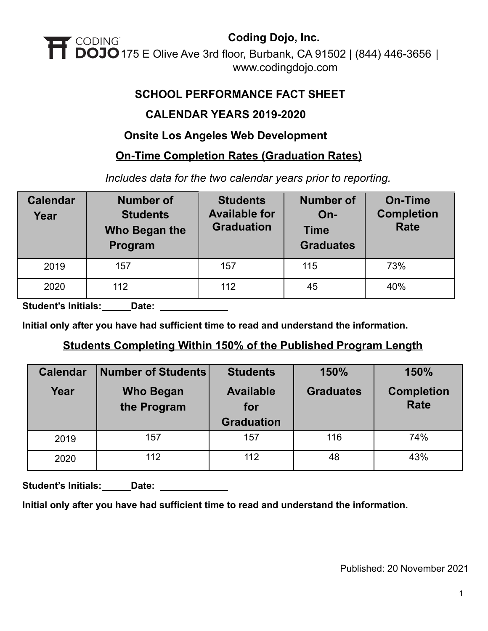

### **SCHOOL PERFORMANCE FACT SHEET**

### **CALENDAR YEARS 2019-2020**

### **Onsite Los Angeles Web Development**

### **On-Time Completion Rates (Graduation Rates)**

*Includes data for the two calendar years prior to reporting.*

| <b>Calendar</b><br>Year | <b>Number of</b><br><b>Students</b><br>Who Began the<br>Program | <b>Students</b><br><b>Available for</b><br><b>Graduation</b> | <b>Number of</b><br>$On-$<br><b>Time</b><br><b>Graduates</b> | <b>On-Time</b><br><b>Completion</b><br><b>Rate</b> |
|-------------------------|-----------------------------------------------------------------|--------------------------------------------------------------|--------------------------------------------------------------|----------------------------------------------------|
| 2019                    | 157                                                             | 157                                                          | 115                                                          | 73%                                                |
| 2020                    | 112                                                             | 112                                                          | 45                                                           | 40%                                                |

**Student's Initials: Date:**

**Initial only after you have had sufficient time to read and understand the information.**

### **Students Completing Within 150% of the Published Program Length**

| <b>Calendar</b> | <b>Number of Students</b>       | <b>Students</b>                              | 150%             | 150%                             |
|-----------------|---------------------------------|----------------------------------------------|------------------|----------------------------------|
| Year            | <b>Who Began</b><br>the Program | <b>Available</b><br>for<br><b>Graduation</b> | <b>Graduates</b> | <b>Completion</b><br><b>Rate</b> |
| 2019            | 157                             | 157                                          | 116              | 74%                              |
| 2020            | 112                             | 112                                          | 48               | 43%                              |

Student's Initials: **Date: Letter** 

**Initial only after you have had sufficient time to read and understand the information.**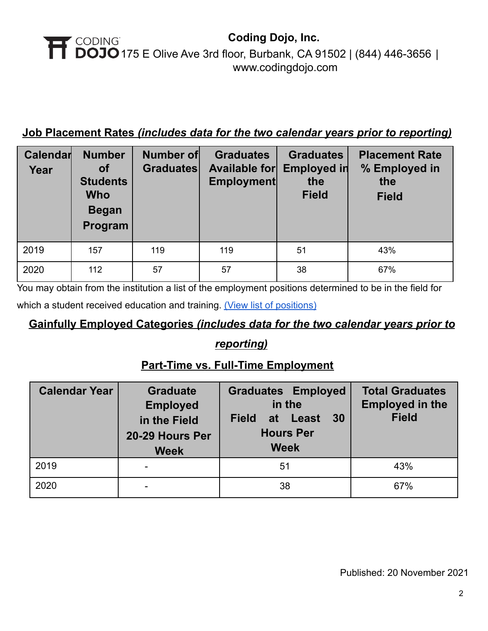## **Job Placement Rates** *(includes data for the two calendar years prior to reporting)*

| Calendar<br>Year | <b>Number</b><br><b>of</b><br><b>Students</b><br><b>Who</b><br><b>Began</b><br>Program | <b>Number of</b><br><b>Graduates</b> | <b>Graduates</b><br>Available for<br><b>Employment</b> | <b>Graduates</b><br><b>Employed in</b><br>the<br><b>Field</b> | <b>Placement Rate</b><br>% Employed in<br>the<br><b>Field</b> |
|------------------|----------------------------------------------------------------------------------------|--------------------------------------|--------------------------------------------------------|---------------------------------------------------------------|---------------------------------------------------------------|
| 2019             | 157                                                                                    | 119                                  | 119                                                    | 51                                                            | 43%                                                           |
| 2020             | 112                                                                                    | 57                                   | 57                                                     | 38                                                            | 67%                                                           |

You may obtain from the institution a list of the employment positions determined to be in the field for

which a student received education and training. (View [list of positions\)](https://cdn2.codingdojo.com/files/alumni_positions.pdf)

# **Gainfully Employed Categories** *(includes data for the two calendar years prior to*

# *reporting)*

# **Part-Time vs. Full-Time Employment**

| <b>Calendar Year</b> | <b>Graduate</b><br><b>Employed</b><br>in the Field<br>20-29 Hours Per<br><b>Week</b> | <b>Graduates Employed</b><br>in the<br>30<br><b>Field</b><br>at<br>Least<br><b>Hours Per</b><br><b>Week</b> | <b>Total Graduates</b><br><b>Employed in the</b><br><b>Field</b> |
|----------------------|--------------------------------------------------------------------------------------|-------------------------------------------------------------------------------------------------------------|------------------------------------------------------------------|
| 2019                 |                                                                                      | 51                                                                                                          | 43%                                                              |
| 2020                 |                                                                                      | 38                                                                                                          | 67%                                                              |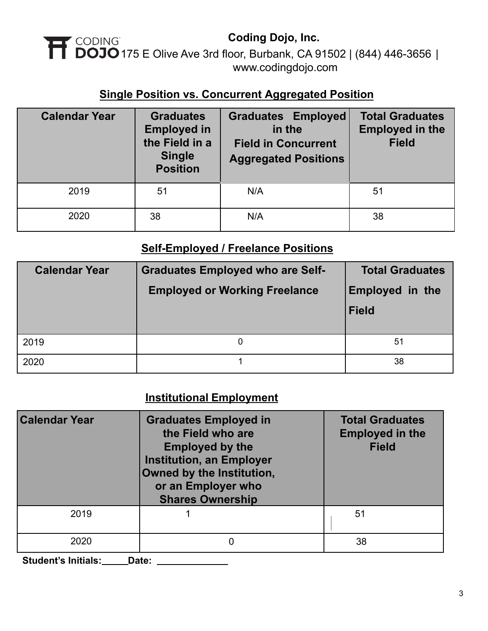# **Coding Dojo, Inc. 175 CODING**<br>175 E Olive Ave 3rd floor, Burbank, CA 91502 [|](http://www.codingdojo.com) (844) 446-3656 | [www.codingdojo.com](http://www.codingdojo.com)

### **Single Position vs. Concurrent Aggregated Position**

| <b>Calendar Year</b> | <b>Graduates</b><br><b>Employed in</b><br>the Field in a<br><b>Single</b><br><b>Position</b> | <b>Graduates Employed</b><br>in the<br><b>Field in Concurrent</b><br><b>Aggregated Positions</b> | <b>Total Graduates</b><br><b>Employed in the</b><br><b>Field</b> |  |
|----------------------|----------------------------------------------------------------------------------------------|--------------------------------------------------------------------------------------------------|------------------------------------------------------------------|--|
| 2019                 | 51                                                                                           | N/A                                                                                              | 51                                                               |  |
| 2020                 | 38                                                                                           | N/A                                                                                              | 38                                                               |  |

### **Self-Employed / Freelance Positions**

| <b>Calendar Year</b> | <b>Graduates Employed who are Self-</b><br><b>Employed or Working Freelance</b> | <b>Total Graduates</b><br><b>Employed in the</b><br><b>Field</b> |
|----------------------|---------------------------------------------------------------------------------|------------------------------------------------------------------|
| 2019                 | 0                                                                               | 51                                                               |
| 2020                 |                                                                                 | 38                                                               |

# **Institutional Employment**

| <b>Calendar Year</b> | <b>Graduates Employed in</b><br>the Field who are<br><b>Employed by the</b><br><b>Institution, an Employer</b><br>Owned by the Institution,<br>or an Employer who<br><b>Shares Ownership</b> | <b>Total Graduates</b><br><b>Employed in the</b><br><b>Field</b> |  |
|----------------------|----------------------------------------------------------------------------------------------------------------------------------------------------------------------------------------------|------------------------------------------------------------------|--|
| 2019                 |                                                                                                                                                                                              | 51                                                               |  |
| 2020                 |                                                                                                                                                                                              | 38                                                               |  |

**Student's Initials: Date:**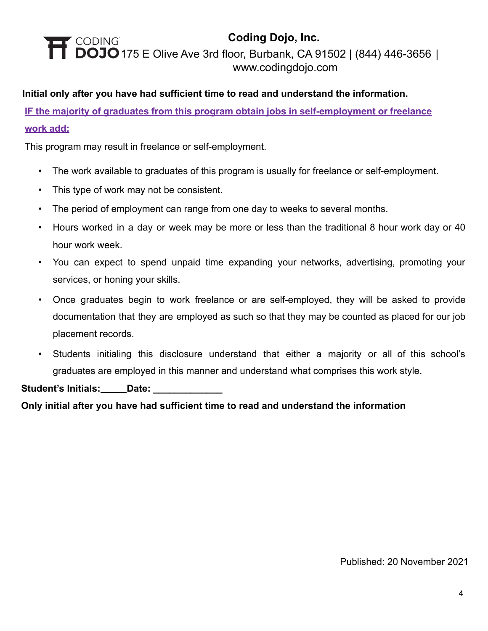#### **Initial only after you have had sufficient time to read and understand the information.**

**IF the majority of graduates from this program obtain jobs in self-employment or freelance work add:**

This program may result in freelance or self-employment.

- The work available to graduates of this program is usually for freelance or self-employment.
- This type of work may not be consistent.
- The period of employment can range from one day to weeks to several months.
- Hours worked in a day or week may be more or less than the traditional 8 hour work day or 40 hour work week.
- You can expect to spend unpaid time expanding your networks, advertising, promoting your services, or honing your skills.
- Once graduates begin to work freelance or are self-employed, they will be asked to provide documentation that they are employed as such so that they may be counted as placed for our job placement records.
- Students initialing this disclosure understand that either a majority or all of this school's graduates are employed in this manner and understand what comprises this work style.

**Student's Initials: Date: \_\_\_\_\_\_\_\_\_\_\_\_\_**

**Only initial after you have had sufficient time to read and understand the information**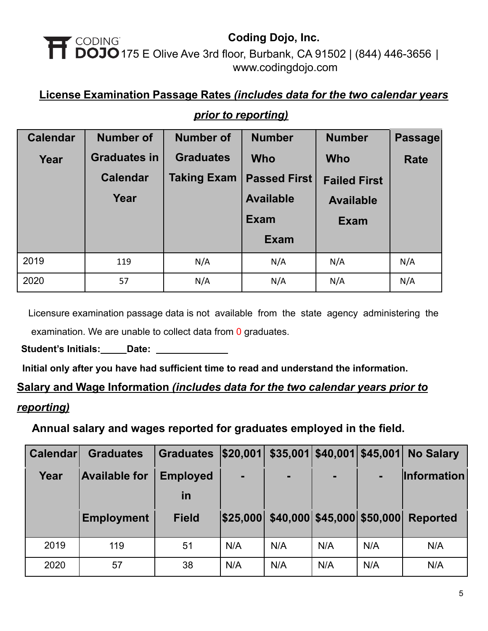### **License Examination Passage Rates** *(includes data for the two calendar years*

| <b>Calendar</b> | <b>Number of</b>    | <b>Number of</b>   | <b>Number</b>       | <b>Number</b>       | Passage     |
|-----------------|---------------------|--------------------|---------------------|---------------------|-------------|
| Year            | <b>Graduates in</b> | <b>Graduates</b>   | <b>Who</b>          | <b>Who</b>          | <b>Rate</b> |
|                 | <b>Calendar</b>     | <b>Taking Exam</b> | <b>Passed First</b> | <b>Failed First</b> |             |
|                 | Year                |                    | <b>Available</b>    | <b>Available</b>    |             |
|                 |                     |                    | <b>Exam</b>         | <b>Exam</b>         |             |
|                 |                     |                    | <b>Exam</b>         |                     |             |
| 2019            | 119                 | N/A                | N/A                 | N/A                 | N/A         |
| 2020            | 57                  | N/A                | N/A                 | N/A                 | N/A         |

### *prior to reporting)*

Licensure examination passage data is not available from the state agency administering the examination. We are unable to collect data from 0 graduates.

Student's Initials: Date: 2011

**Initial only after you have had sufficient time to read and understand the information.**

### **Salary and Wage Information** *(includes data for the two calendar years prior to*

### *reporting)*

**Annual salary and wages reported for graduates employed in the field.**

| <b>Calendar</b> | <b>Graduates</b>     | <b>Graduates</b> | \$20,001       |                                     | $$35,001$ $$40,001$ $$45,001$ |     | <b>No Salary</b>   |
|-----------------|----------------------|------------------|----------------|-------------------------------------|-------------------------------|-----|--------------------|
| Year            | <b>Available for</b> | <b>Employed</b>  | $\blacksquare$ | $\blacksquare$                      | $\blacksquare$                |     | <b>Information</b> |
|                 |                      | <u>in</u>        |                |                                     |                               |     |                    |
|                 | <b>Employment</b>    | <b>Field</b>     |                | \$25,000 \$40,000 \$45,000 \$50,000 |                               |     | <b>Reported</b>    |
| 2019            | 119                  | 51               | N/A            | N/A                                 | N/A                           | N/A | N/A                |
| 2020            | 57                   | 38               | N/A            | N/A                                 | N/A                           | N/A | N/A                |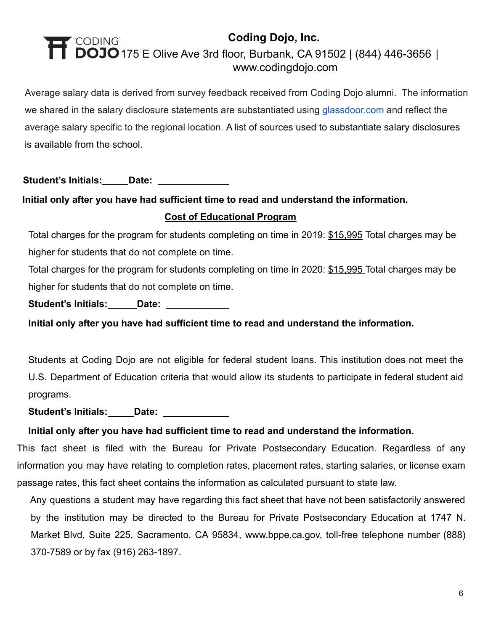Average salary data is derived from survey feedback received from Coding Dojo alumni. The information we shared in the salary disclosure statements are substantiated using [glassdoor.com](http://glassdoor.com/) and reflect the average salary specific to the regional location. A list of sources used to substantiate salary disclosures is available from the school.

**Student's Initials: Date:**

## **Initial only after you have had sufficient time to read and understand the information. Cost of Educational Program**

Total charges for the program for students completing on time in 2019: \$15,995 Total charges may be higher for students that do not complete on time.

Total charges for the program for students completing on time in 2020: \$15,995 Total charges may be higher for students that do not complete on time.

Student's Initials: **Date:** \_\_\_\_\_\_\_\_\_\_\_

**Initial only after you have had sufficient time to read and understand the information.**

Students at Coding Dojo are not eligible for federal student loans. This institution does not meet the U.S. Department of Education criteria that would allow its students to participate in federal student aid programs.

**Student's Initials: Date:**

### **Initial only after you have had sufficient time to read and understand the information.**

This fact sheet is filed with the Bureau for Private Postsecondary Education. Regardless of any information you may have relating to completion rates, placement rates, starting salaries, or license exam passage rates, this fact sheet contains the information as calculated pursuant to state law.

Any questions a student may have regarding this fact sheet that have not been satisfactorily answered by the institution may be directed to the Bureau for Private Postsecondary Education at 1747 N. Market Blvd, Suite 225, Sacramento, CA 95834, www.bppe.ca.gov, toll-free telephone number (888) 370-7589 or by fax (916) 263-1897.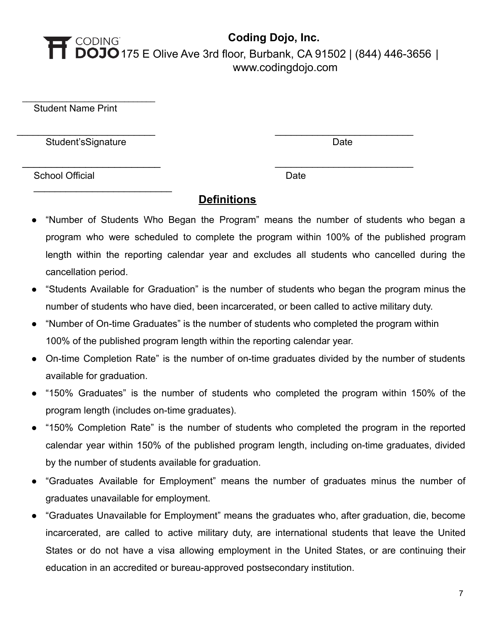Student Name Print

Student'sSignature Date Date Date Date

 $\_$ 

 $\overline{\phantom{a}}$  , where  $\overline{\phantom{a}}$  , where  $\overline{\phantom{a}}$  , where  $\overline{\phantom{a}}$  , where  $\overline{\phantom{a}}$ 

School Official Date Date Date

### **Definitions**

\_\_\_\_\_\_\_\_\_\_\_\_\_\_\_\_\_\_\_\_\_\_\_\_\_\_ \_\_\_\_\_\_\_\_\_\_\_\_\_\_\_\_\_\_\_\_\_\_\_\_\_\_

\_\_\_\_\_\_\_\_\_\_\_\_\_\_\_\_\_\_\_\_\_\_\_\_ \_\_\_\_\_\_\_\_\_\_\_\_\_\_\_\_\_\_\_\_\_\_\_\_\_\_

- "Number of Students Who Began the Program" means the number of students who began a program who were scheduled to complete the program within 100% of the published program length within the reporting calendar year and excludes all students who cancelled during the cancellation period.
- "Students Available for Graduation" is the number of students who began the program minus the number of students who have died, been incarcerated, or been called to active military duty.
- "Number of On-time Graduates" is the number of students who completed the program within 100% of the published program length within the reporting calendar year.
- On-time Completion Rate" is the number of on-time graduates divided by the number of students available for graduation.
- "150% Graduates" is the number of students who completed the program within 150% of the program length (includes on-time graduates).
- "150% Completion Rate" is the number of students who completed the program in the reported calendar year within 150% of the published program length, including on-time graduates, divided by the number of students available for graduation.
- "Graduates Available for Employment" means the number of graduates minus the number of graduates unavailable for employment.
- "Graduates Unavailable for Employment" means the graduates who, after graduation, die, become incarcerated, are called to active military duty, are international students that leave the United States or do not have a visa allowing employment in the United States, or are continuing their education in an accredited or bureau-approved postsecondary institution.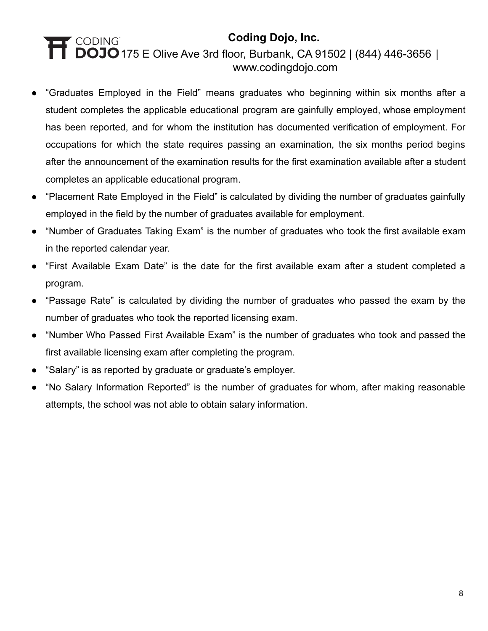- "Graduates Employed in the Field" means graduates who beginning within six months after a student completes the applicable educational program are gainfully employed, whose employment has been reported, and for whom the institution has documented verification of employment. For occupations for which the state requires passing an examination, the six months period begins after the announcement of the examination results for the first examination available after a student completes an applicable educational program.
- "Placement Rate Employed in the Field" is calculated by dividing the number of graduates gainfully employed in the field by the number of graduates available for employment.
- "Number of Graduates Taking Exam" is the number of graduates who took the first available exam in the reported calendar year.
- "First Available Exam Date" is the date for the first available exam after a student completed a program.
- "Passage Rate" is calculated by dividing the number of graduates who passed the exam by the number of graduates who took the reported licensing exam.
- "Number Who Passed First Available Exam" is the number of graduates who took and passed the first available licensing exam after completing the program.
- "Salary" is as reported by graduate or graduate's employer.
- "No Salary Information Reported" is the number of graduates for whom, after making reasonable attempts, the school was not able to obtain salary information.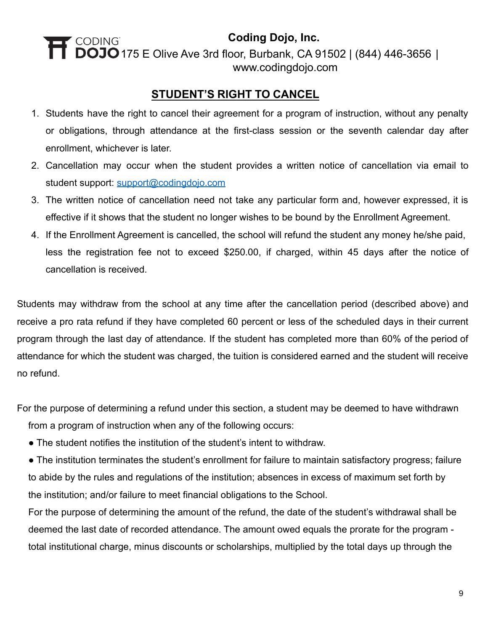## **STUDENT'S RIGHT TO CANCEL**

- 1. Students have the right to cancel their agreement for a program of instruction, without any penalty or obligations, through attendance at the first-class session or the seventh calendar day after enrollment, whichever is later.
- 2. Cancellation may occur when the student provides a written notice of cancellation via email to student support: [support@codingdojo.com](mailto:support@codingdojo.com)
- 3. The written notice of cancellation need not take any particular form and, however expressed, it is effective if it shows that the student no longer wishes to be bound by the Enrollment Agreement.
- 4. If the Enrollment Agreement is cancelled, the school will refund the student any money he/she paid, less the registration fee not to exceed \$250.00, if charged, within 45 days after the notice of cancellation is received.

Students may withdraw from the school at any time after the cancellation period (described above) and receive a pro rata refund if they have completed 60 percent or less of the scheduled days in their current program through the last day of attendance. If the student has completed more than 60% of the period of attendance for which the student was charged, the tuition is considered earned and the student will receive no refund.

For the purpose of determining a refund under this section, a student may be deemed to have withdrawn from a program of instruction when any of the following occurs:

• The student notifies the institution of the student's intent to withdraw.

● The institution terminates the student's enrollment for failure to maintain satisfactory progress; failure to abide by the rules and regulations of the institution; absences in excess of maximum set forth by the institution; and/or failure to meet financial obligations to the School.

For the purpose of determining the amount of the refund, the date of the student's withdrawal shall be deemed the last date of recorded attendance. The amount owed equals the prorate for the program total institutional charge, minus discounts or scholarships, multiplied by the total days up through the